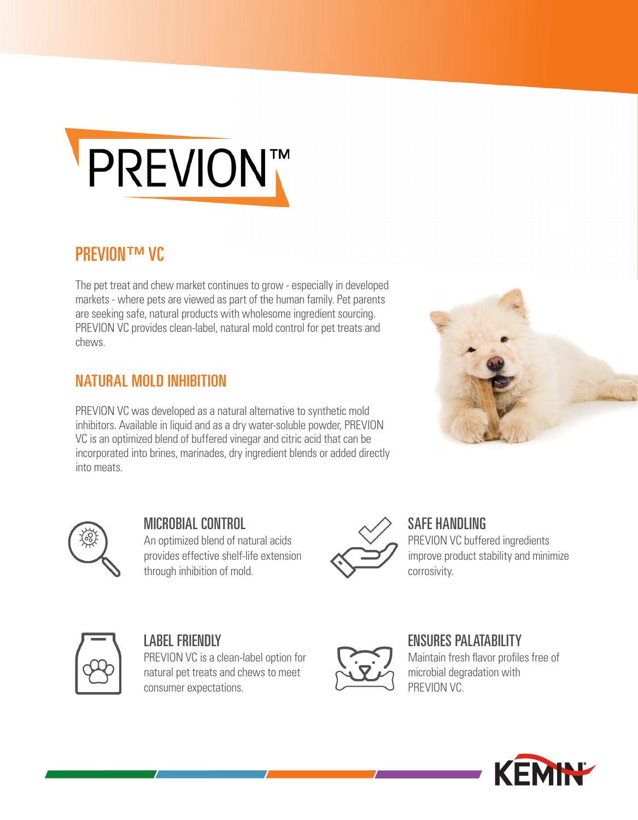

#### **PREVION™ VC**

The pet treat and chew market continues to grow - especially in developed markets - where pets are viewed as part of the human family. Pet parents are seeking safe, natural products with wholesome ingredient sourcing. PREVION VC provides clean-label, natural mold control for pet treats and chews.

#### NATURAL MOLD INHIBITION

PREVION VC was developed as a natural alternative to synthetic mold inhibitors. Available in liquid and as a dry water-soluble powder, PREVION VC is an optimized blend of buffered vinegar and citric acid that can be incorporated into brines, marinades, dry ingredient blends or added directly into meats.





MICROBIAL CONTROL An optimized blend of natural acids provides effective shelf-life extension through inhibition of mold.



SAFE HANDLING PREVION VC buffered ingredients improve product stability and minimize corrosivity.



#### LABEL FRIENDLY

PREVION VC is a clean-label option for natural pet treats and chews to meet consumer expectations.



#### ENSURES PALATABILITY

Maintain fresh flavor profiles free of microbial degradation with PREVION VC.